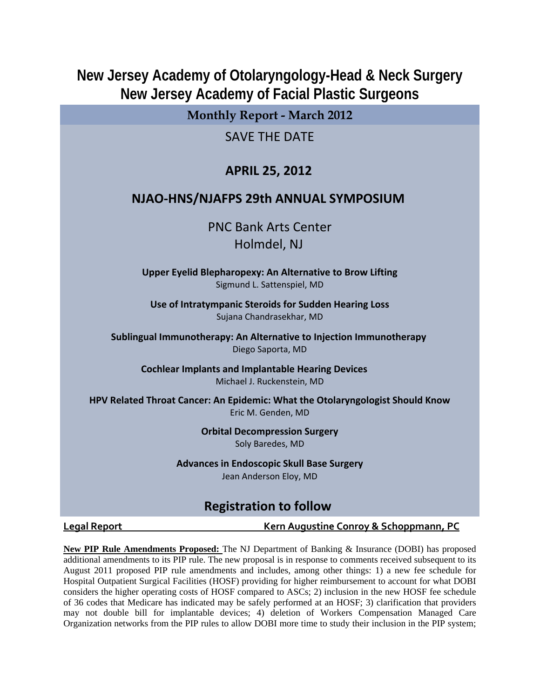# **New Jersey Academy of Otolaryngology-Head & Neck Surgery New Jersey Academy of Facial Plastic Surgeons**

**Monthly Report - March 2012**

SAVE THE DATE

## **APRIL 25, 2012**

## **NJAO‐HNS/NJAFPS 29th ANNUAL SYMPOSIUM**

PNC Bank Arts Center Holmdel, NJ

**Upper Eyelid Blepharopexy: An Alternative to Brow Lifting** Sigmund L. Sattenspiel, MD

**Use of Intratympanic Steroids for Sudden Hearing Loss** Sujana Chandrasekhar, MD

**Sublingual Immunotherapy: An Alternative to Injection Immunotherapy** Diego Saporta, MD

**Cochlear Implants and Implantable Hearing Devices**  Michael J. Ruckenstein, MD

**HPV Related Throat Cancer: An Epidemic: What the Otolaryngologist Should Know** Eric M. Genden, MD

> **Orbital Decompression Surgery** Soly Baredes, MD

**Advances in Endoscopic Skull Base Surgery** Jean Anderson Eloy, MD

# **Registration to follow**

**Legal Report Kern Augustine Conroy & Schoppmann, PC**

**New PIP Rule Amendments Proposed:** The NJ Department of Banking & Insurance (DOBI) has proposed additional amendments to its PIP rule. The new proposal is in response to comments received subsequent to its August 2011 proposed PIP rule amendments and includes, among other things: 1) a new fee schedule for Hospital Outpatient Surgical Facilities (HOSF) providing for higher reimbursement to account for what DOBI considers the higher operating costs of HOSF compared to ASCs; 2) inclusion in the new HOSF fee schedule of 36 codes that Medicare has indicated may be safely performed at an HOSF; 3) clarification that providers may not double bill for implantable devices; 4) deletion of Workers Compensation Managed Care Organization networks from the PIP rules to allow DOBI more time to study their inclusion in the PIP system;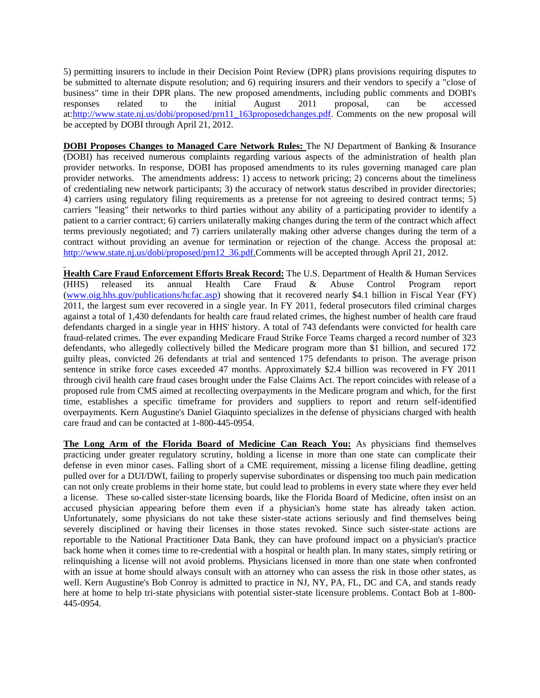5) permitting insurers to include in their Decision Point Review (DPR) plans provisions requiring disputes to be submitted to alternate dispute resolution; and 6) requiring insurers and their vendors to specify a "close of business" time in their DPR plans. The new proposed amendments, including public comments and DOBI's responses related to the initial August 2011 proposal, can be accessed at:http://www.state.nj.us/dobi/proposed/prn11\_163proposedchanges.pdf. Comments on the new proposal will be accepted by DOBI through April 21, 2012.

**DOBI Proposes Changes to Managed Care Network Rules:** The NJ Department of Banking & Insurance (DOBI) has received numerous complaints regarding various aspects of the administration of health plan provider networks. In response, DOBI has proposed amendments to its rules governing managed care plan provider networks. The amendments address: 1) access to network pricing; 2) concerns about the timeliness of credentialing new network participants; 3) the accuracy of network status described in provider directories; 4) carriers using regulatory filing requirements as a pretense for not agreeing to desired contract terms; 5) carriers "leasing" their networks to third parties without any ability of a participating provider to identify a patient to a carrier contract; 6) carriers unilaterally making changes during the term of the contract which affect terms previously negotiated; and 7) carriers unilaterally making other adverse changes during the term of a contract without providing an avenue for termination or rejection of the change. Access the proposal at: http://www.state.nj.us/dobi/proposed/prn12\_36.pdf.Comments will be accepted through April 21, 2012.

**Health Care Fraud Enforcement Efforts Break Record:** The U.S. Department of Health & Human Services (HHS) released its annual Health Care Fraud & Abuse Control Program report (www.oig.hhs.gov/publications/hcfac.asp) showing that it recovered nearly \$4.1 billion in Fiscal Year (FY) 2011, the largest sum ever recovered in a single year. In FY 2011, federal prosecutors filed criminal charges against a total of 1,430 defendants for health care fraud related crimes, the highest number of health care fraud defendants charged in a single year in HHS' history. A total of 743 defendants were convicted for health care fraud-related crimes. The ever expanding Medicare Fraud Strike Force Teams charged a record number of 323 defendants, who allegedly collectively billed the Medicare program more than \$1 billion, and secured 172 guilty pleas, convicted 26 defendants at trial and sentenced 175 defendants to prison. The average prison sentence in strike force cases exceeded 47 months. Approximately \$2.4 billion was recovered in FY 2011 through civil health care fraud cases brought under the False Claims Act. The report coincides with release of a proposed rule from CMS aimed at recollecting overpayments in the Medicare program and which, for the first time, establishes a specific timeframe for providers and suppliers to report and return self-identified overpayments. Kern Augustine's Daniel Giaquinto specializes in the defense of physicians charged with health care fraud and can be contacted at 1-800-445-0954.

**The Long Arm of the Florida Board of Medicine Can Reach You:** As physicians find themselves practicing under greater regulatory scrutiny, holding a license in more than one state can complicate their defense in even minor cases. Falling short of a CME requirement, missing a license filing deadline, getting pulled over for a DUI/DWI, failing to properly supervise subordinates or dispensing too much pain medication can not only create problems in their home state, but could lead to problems in every state where they ever held a license. These so-called sister-state licensing boards, like the Florida Board of Medicine, often insist on an accused physician appearing before them even if a physician's home state has already taken action. Unfortunately, some physicians do not take these sister-state actions seriously and find themselves being severely disciplined or having their licenses in those states revoked. Since such sister-state actions are reportable to the National Practitioner Data Bank, they can have profound impact on a physician's practice back home when it comes time to re-credential with a hospital or health plan. In many states, simply retiring or relinquishing a license will not avoid problems. Physicians licensed in more than one state when confronted with an issue at home should always consult with an attorney who can assess the risk in those other states, as well. Kern Augustine's Bob Conroy is admitted to practice in NJ, NY, PA, FL, DC and CA, and stands ready here at home to help tri-state physicians with potential sister-state licensure problems. Contact Bob at 1-800- 445-0954.